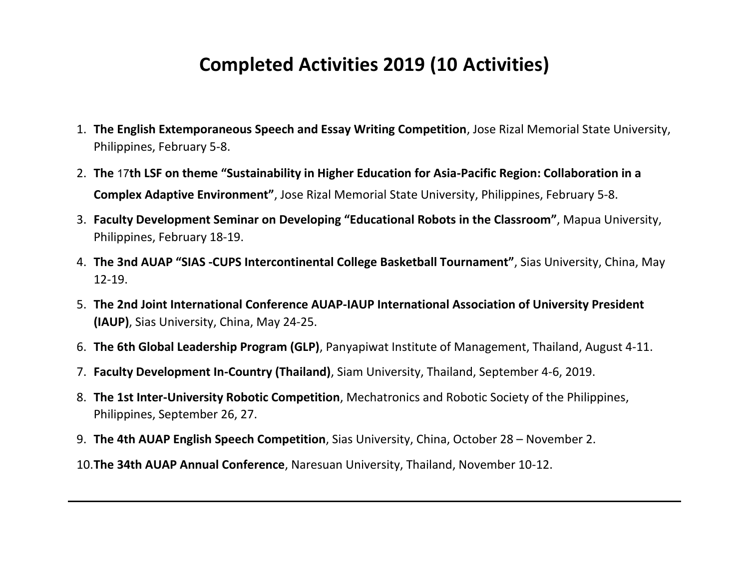## **Completed Activities 2019 (10 Activities)**

- 1. **The English Extemporaneous Speech and Essay Writing Competition**, Jose Rizal Memorial State University, Philippines, February 5-8.
- 2. **The 17th LSF on theme "Sustainability in Higher Education for Asia-Pacific Region: Collaboration in a Complex Adaptive Environment"**, Jose Rizal Memorial State University, Philippines, February 5-8.
- 3. **Faculty Development Seminar on Developing "Educational Robots in the Classroom"**, Mapua University, Philippines, February 18-19.
- 4. **The 3nd AUAP "SIAS -CUPS Intercontinental College Basketball Tournament"**, Sias University, China, May 12-19.
- 5. **The 2nd Joint International Conference AUAP-IAUP International Association of University President (IAUP)**, Sias University, China, May 24-25.
- 6. **The 6th Global Leadership Program (GLP)**, Panyapiwat Institute of Management, Thailand, August 4-11.
- 7. **Faculty Development In-Country (Thailand)**, Siam University, Thailand, September 4-6, 2019.
- 8. **The 1st Inter-University Robotic Competition**, Mechatronics and Robotic Society of the Philippines, Philippines, September 26, 27.
- 9. **The 4th AUAP English Speech Competition**, Sias University, China, October 28 November 2.
- 10.**The 34th AUAP Annual Conference**, Naresuan University, Thailand, November 10-12.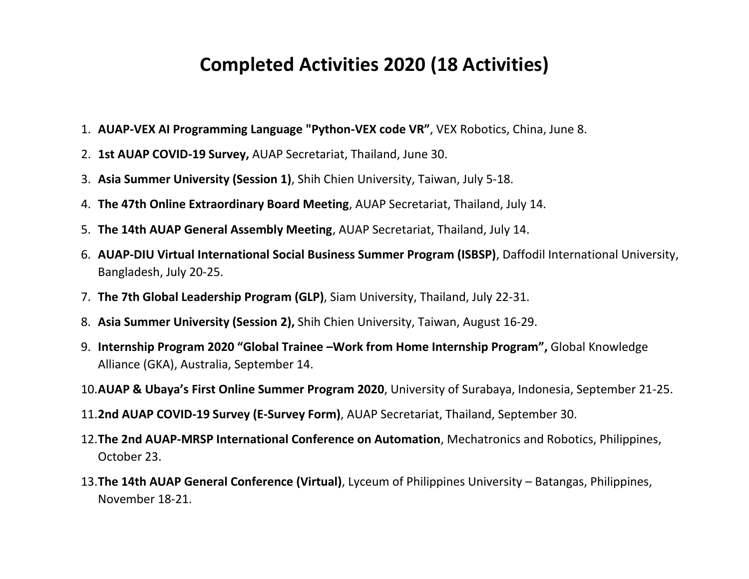## **Completed Activities 2020 (18 Activities)**

- 1. **AUAP-VEX AI Programming Language "Python-VEX code VR"**, VEX Robotics, China, June 8.
- 2. **1st AUAP COVID-19 Survey,** AUAP Secretariat, Thailand, June 30.
- 3. **Asia Summer University (Session 1)**, Shih Chien University, Taiwan, July 5-18.
- 4. **The 47th Online Extraordinary Board Meeting**, AUAP Secretariat, Thailand, July 14.
- 5. **The 14th AUAP General Assembly Meeting**, AUAP Secretariat, Thailand, July 14.
- 6. **AUAP-DIU Virtual International Social Business Summer Program (ISBSP)**, Daffodil International University, Bangladesh, July 20-25.
- 7. **The 7th Global Leadership Program (GLP)**, Siam University, Thailand, July 22-31.
- 8. **Asia Summer University (Session 2),** Shih Chien University, Taiwan, August 16-29.
- 9. **Internship Program 2020 "Global Trainee –Work from Home Internship Program",** Global Knowledge Alliance (GKA), Australia, September 14.
- 10.**AUAP & Ubaya's First Online Summer Program 2020**, University of Surabaya, Indonesia, September 21-25.
- 11.**2nd AUAP COVID-19 Survey (E-Survey Form)**, AUAP Secretariat, Thailand, September 30.
- 12.**The 2nd AUAP-MRSP International Conference on Automation**, Mechatronics and Robotics, Philippines, October 23.
- 13.**The 14th AUAP General Conference (Virtual)**, Lyceum of Philippines University Batangas, Philippines, November 18-21.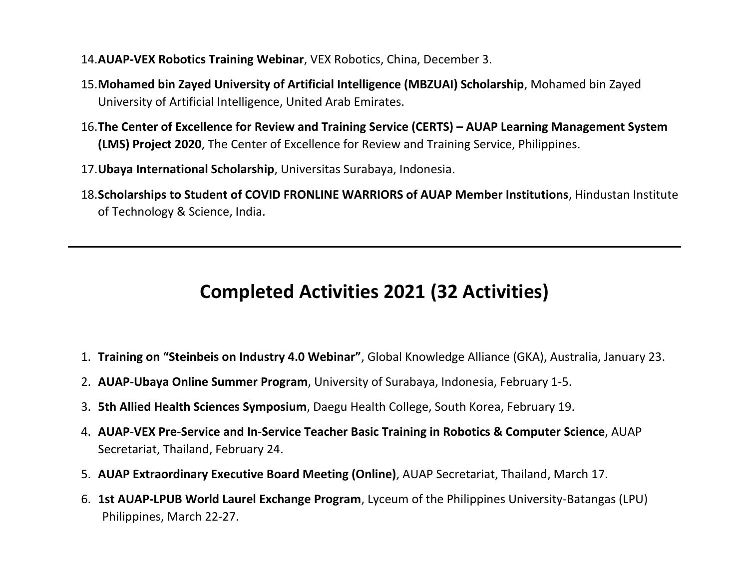- 14.**AUAP-VEX Robotics Training Webinar**, VEX Robotics, China, December 3.
- 15.**Mohamed bin Zayed University of Artificial Intelligence (MBZUAI) Scholarship**, Mohamed bin Zayed University of Artificial Intelligence, United Arab Emirates.
- 16.**The Center of Excellence for Review and Training Service (CERTS) – AUAP Learning Management System (LMS) Project 2020**, The Center of Excellence for Review and Training Service, Philippines.
- 17.**Ubaya International Scholarship**, Universitas Surabaya, Indonesia.
- 18.**Scholarships to Student of COVID FRONLINE WARRIORS of AUAP Member Institutions**, Hindustan Institute of Technology & Science, India.

## **Completed Activities 2021 (32 Activities)**

- 1. **Training on "Steinbeis on Industry 4.0 Webinar"**, Global Knowledge Alliance (GKA), Australia, January 23.
- 2. **AUAP-Ubaya Online Summer Program**, University of Surabaya, Indonesia, February 1-5.
- 3. **5th Allied Health Sciences Symposium**, Daegu Health College, South Korea, February 19.
- 4. **AUAP-VEX Pre-Service and In-Service Teacher Basic Training in Robotics & Computer Science**, AUAP Secretariat, Thailand, February 24.
- 5. **AUAP Extraordinary Executive Board Meeting (Online)**, AUAP Secretariat, Thailand, March 17.
- 6. **1st AUAP-LPUB World Laurel Exchange Program**, Lyceum of the Philippines University-Batangas (LPU) Philippines, March 22-27.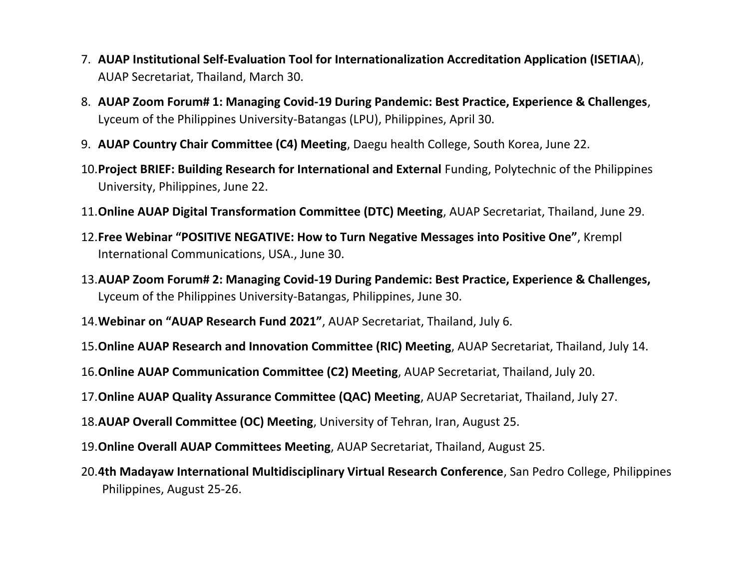- 7. **AUAP Institutional Self-Evaluation Tool for Internationalization Accreditation Application (ISETIAA**), AUAP Secretariat, Thailand, March 30.
- 8. **AUAP Zoom Forum# 1: Managing Covid-19 During Pandemic: Best Practice, Experience & Challenges**, Lyceum of the Philippines University-Batangas (LPU), Philippines, April 30.
- 9. **AUAP Country Chair Committee (C4) Meeting**, Daegu health College, South Korea, June 22.
- 10.**Project BRIEF: Building Research for International and External** Funding, Polytechnic of the Philippines University, Philippines, June 22.
- 11.**Online AUAP Digital Transformation Committee (DTC) Meeting**, AUAP Secretariat, Thailand, June 29.
- 12.**Free Webinar "POSITIVE NEGATIVE: How to Turn Negative Messages into Positive One"**, Krempl International Communications, USA., June 30.
- 13.**AUAP Zoom Forum# 2: Managing Covid-19 During Pandemic: Best Practice, Experience & Challenges,** Lyceum of the Philippines University-Batangas, Philippines, June 30.
- 14.**Webinar on "AUAP Research Fund 2021"**, AUAP Secretariat, Thailand, July 6.
- 15.**Online AUAP Research and Innovation Committee (RIC) Meeting**, AUAP Secretariat, Thailand, July 14.
- 16.**Online AUAP Communication Committee (C2) Meeting**, AUAP Secretariat, Thailand, July 20.
- 17.**Online AUAP Quality Assurance Committee (QAC) Meeting**, AUAP Secretariat, Thailand, July 27.
- 18.**AUAP Overall Committee (OC) Meeting**, University of Tehran, Iran, August 25.
- 19.**Online Overall AUAP Committees Meeting**, AUAP Secretariat, Thailand, August 25.
- 20.**4th Madayaw International Multidisciplinary Virtual Research Conference**, San Pedro College, Philippines Philippines, August 25-26.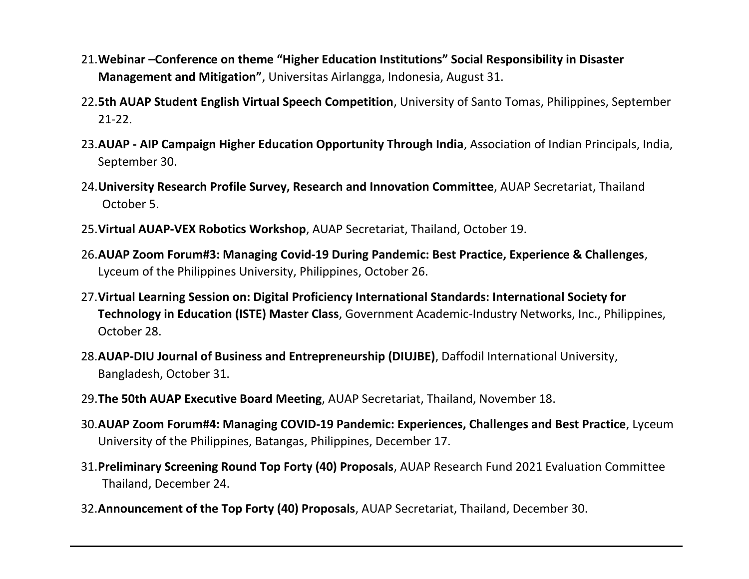- 21.**Webinar –Conference on theme "Higher Education Institutions" Social Responsibility in Disaster Management and Mitigation"**, Universitas Airlangga, Indonesia, August 31.
- 22.**5th AUAP Student English Virtual Speech Competition**, University of Santo Tomas, Philippines, September 21-22.
- 23.**AUAP - AIP Campaign Higher Education Opportunity Through India**, Association of Indian Principals, India, September 30.
- 24.**University Research Profile Survey, Research and Innovation Committee**, AUAP Secretariat, Thailand October 5.
- 25.**Virtual AUAP-VEX Robotics Workshop**, AUAP Secretariat, Thailand, October 19.
- 26.**AUAP Zoom Forum#3: Managing Covid-19 During Pandemic: Best Practice, Experience & Challenges**, Lyceum of the Philippines University, Philippines, October 26.
- 27.**Virtual Learning Session on: Digital Proficiency International Standards: International Society for Technology in Education (ISTE) Master Class**, Government Academic-Industry Networks, Inc., Philippines, October 28.
- 28.**AUAP-DIU Journal of Business and Entrepreneurship (DIUJBE)**, Daffodil International University, Bangladesh, October 31.
- 29.**The 50th AUAP Executive Board Meeting**, AUAP Secretariat, Thailand, November 18.
- 30.**AUAP Zoom Forum#4: Managing COVID-19 Pandemic: Experiences, Challenges and Best Practice**, Lyceum University of the Philippines, Batangas, Philippines, December 17.
- 31.**Preliminary Screening Round Top Forty (40) Proposals**, AUAP Research Fund 2021 Evaluation Committee Thailand, December 24.
- 32.**Announcement of the Top Forty (40) Proposals**, AUAP Secretariat, Thailand, December 30.